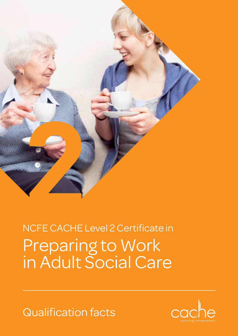

## Preparing to Work in Adult Social Care NCFE CACHE Level 2 Certificate in

Qualification facts

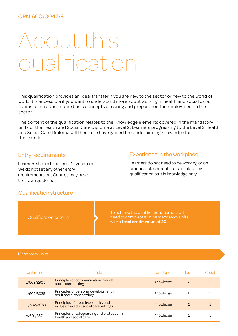### QRN:600/0047/8

# About this alificati

This qualification provides an ideal transfer if you are new to the sector or new to the world of work. It is accessible if you want to understand more about working in health and social care. It aims to introduce some basic concepts of caring and preparation for employment in the sector.

The content of the qualification relates to the knowledge elements covered in the mandatory units of the Health and Social Care Diploma at Level 2. Learners progressing to the Level 2 Health and Social Care Diploma will therefore have gained the underpinning knowledge for these units.

#### Entry requirements

Learners should be at least 14 years old. We do not set any other entry requirements but Centres may have their own guidelines.

#### Experience in the workplace

Learners do not need to be working or on practical placements to complete this qualification as it is knowledge only.

#### Qualification structure

Qualification criteria

To achieve the qualification, learners will need to complete all nine mandatory units with a **total credit value of 20.**

#### Mandatory units

| Unit ref no. | Title                                                                            | Unit type | Level | Credit |
|--------------|----------------------------------------------------------------------------------|-----------|-------|--------|
| L/602/2905   | Principles of communication in adult<br>social care settings                     | Knowledge |       |        |
| L/602/3035   | Principles of personal development in<br>adult social care settings              | Knowledge |       |        |
| H/602/3039   | Principles of diversity, equality and<br>inclusion in adult social care settings | Knowledge |       |        |
| A/601/8574   | Principles of safeguarding and protection in<br>health and social care           | Knowledge |       |        |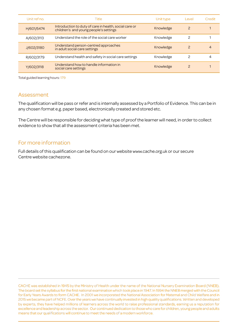| Unit ref no. | Title                                                                                            | Unit type | Level         | Credit |
|--------------|--------------------------------------------------------------------------------------------------|-----------|---------------|--------|
| H/601/5474   | Introduction to duty of care in health, social care or<br>children's and young people's settings | Knowledge | 2             |        |
| A/602/3113   | Understand the role of the social care worker                                                    | Knowledge | 2             |        |
| J/602/3180   | Understand person-centred approaches<br>in adult social care settings                            | Knowledge | 2             | 4      |
| R/602/3179   | Understand health and safety in social care settings                                             | Knowledge | っ             | 4      |
| Y/602/3118   | Understand how to handle information in<br>social care settings                                  | Knowledge | $\mathcal{P}$ |        |

Total guided learning hours: 179

### Assessment

The qualification will be pass or refer and is internally assessed by a Portfolio of Evidence. This can be in any chosen format e.g. paper based, electronically created and stored etc.

The Centre will be responsible for deciding what type of proof the learner will need, in order to collect evidence to show that all the assessment criteria has been met.

### For more information

Full details of this qualification can be found on our website www.cache.org.uk or our secure Centre website cachezone.

CACHE was established in 1945 by the Ministry of Health under the name of the National Nursery Examination Board (NNEB). The board set the syllabus for the first national examination which took place in 1947. In 1994 the NNEB merged with the Council for Early Years Awards to form CACHE. In 2001 we incorporated the National Association for Maternal and Child Welfare and in 2015 we became part of NCFE. Over the years we have continually invested in high quality qualifications. Written and developed by experts, they have helped millions of learners across the world to raise professional standards, earning us a reputation for excellence and leadership across the sector. Our continued dedication to those who care for children, young people and adults means that our qualifications will continue to meet the needs of a modern workforce.